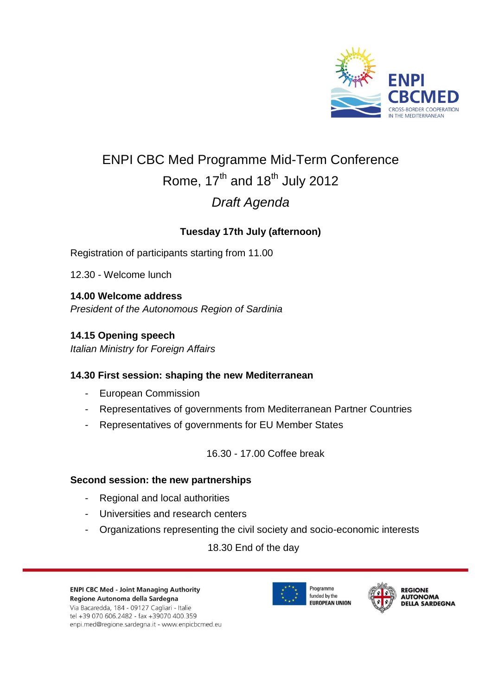

# ENPI CBC Med Programme Mid-Term Conference Rome,  $17<sup>th</sup>$  and  $18<sup>th</sup>$  July 2012 *Draft Agenda*

# **Tuesday 17th July (afternoon)**

Registration of participants starting from 11.00

12.30 - Welcome lunch

**14.00 Welcome address** *President of the Autonomous Region of Sardinia* 

### **14.15 Opening speech**

*Italian Ministry for Foreign Affairs*

#### **14.30 First session: shaping the new Mediterranean**

- European Commission
- Representatives of governments from Mediterranean Partner Countries
- Representatives of governments for EU Member States

16.30 - 17.00 Coffee break

#### **Second session: the new partnerships**

- Regional and local authorities
- Universities and research centers
- Organizations representing the civil society and socio-economic interests

18.30 End of the day



Via Bacaredda, 184 - 09127 Cagliari - Italie tel +39 070 606.2482 - fax +39070 400.359 enpi.med@regione.sardegna.it - www.enpicbcmed.eu